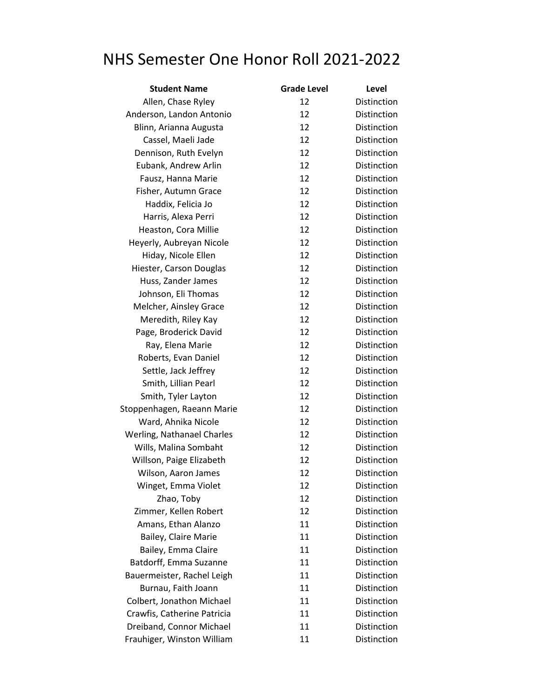## NHS Semester One Honor Roll 2021-2022

| <b>Student Name</b>               | <b>Grade Level</b> | Level              |
|-----------------------------------|--------------------|--------------------|
| Allen, Chase Ryley                | 12                 | Distinction        |
| Anderson, Landon Antonio          | 12                 | Distinction        |
| Blinn, Arianna Augusta            | 12                 | Distinction        |
| Cassel, Maeli Jade                | 12                 | Distinction        |
| Dennison, Ruth Evelyn             | 12                 | Distinction        |
| Eubank, Andrew Arlin              | 12                 | Distinction        |
| Fausz, Hanna Marie                | 12                 | Distinction        |
| Fisher, Autumn Grace              | 12                 | Distinction        |
| Haddix, Felicia Jo                | 12                 | <b>Distinction</b> |
| Harris, Alexa Perri               | 12                 | Distinction        |
| Heaston, Cora Millie              | 12                 | Distinction        |
| Heyerly, Aubreyan Nicole          | 12                 | Distinction        |
| Hiday, Nicole Ellen               | 12                 | Distinction        |
| Hiester, Carson Douglas           | 12                 | Distinction        |
| Huss, Zander James                | 12                 | <b>Distinction</b> |
| Johnson, Eli Thomas               | 12                 | Distinction        |
| Melcher, Ainsley Grace            | 12                 | Distinction        |
| Meredith, Riley Kay               | 12                 | Distinction        |
| Page, Broderick David             | 12                 | <b>Distinction</b> |
| Ray, Elena Marie                  | 12                 | Distinction        |
| Roberts, Evan Daniel              | 12                 | Distinction        |
| Settle, Jack Jeffrey              | 12                 | Distinction        |
| Smith, Lillian Pearl              | 12                 | Distinction        |
| Smith, Tyler Layton               | 12                 | Distinction        |
| Stoppenhagen, Raeann Marie        | 12                 | Distinction        |
| Ward, Ahnika Nicole               | 12                 | Distinction        |
| <b>Werling, Nathanael Charles</b> | 12                 | Distinction        |
| Wills, Malina Sombaht             | 12                 | Distinction        |
| Willson, Paige Elizabeth          | 12                 | Distinction        |
| Wilson, Aaron James               | 12                 | Distinction        |
| Winget, Emma Violet               | 12                 | Distinction        |
| Zhao, Toby                        | 12                 | Distinction        |
| Zimmer, Kellen Robert             | 12                 | Distinction        |
| Amans, Ethan Alanzo               | 11                 | Distinction        |
| Bailey, Claire Marie              | 11                 | Distinction        |
| Bailey, Emma Claire               | 11                 | <b>Distinction</b> |
| Batdorff, Emma Suzanne            | 11                 | Distinction        |
| Bauermeister, Rachel Leigh        | 11                 | <b>Distinction</b> |
| Burnau, Faith Joann               | 11                 | Distinction        |
| Colbert, Jonathon Michael         | 11                 | Distinction        |
| Crawfis, Catherine Patricia       | 11                 | Distinction        |
| Dreiband, Connor Michael          | 11                 | Distinction        |
| Frauhiger, Winston William        | 11                 | Distinction        |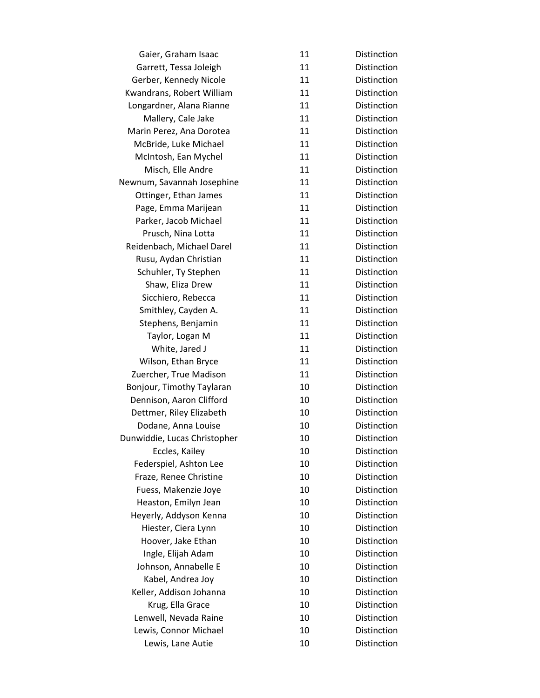| Gaier, Graham Isaac          | 11 | Distinction        |
|------------------------------|----|--------------------|
| Garrett, Tessa Joleigh       | 11 | <b>Distinction</b> |
| Gerber, Kennedy Nicole       | 11 | Distinction        |
| Kwandrans, Robert William    | 11 | Distinction        |
| Longardner, Alana Rianne     | 11 | Distinction        |
| Mallery, Cale Jake           | 11 | Distinction        |
| Marin Perez, Ana Dorotea     | 11 | Distinction        |
| McBride, Luke Michael        | 11 | Distinction        |
| McIntosh, Ean Mychel         | 11 | Distinction        |
| Misch, Elle Andre            | 11 | Distinction        |
| Newnum, Savannah Josephine   | 11 | Distinction        |
| Ottinger, Ethan James        | 11 | Distinction        |
| Page, Emma Marijean          | 11 | Distinction        |
| Parker, Jacob Michael        | 11 | Distinction        |
| Prusch, Nina Lotta           | 11 | Distinction        |
| Reidenbach, Michael Darel    | 11 | Distinction        |
| Rusu, Aydan Christian        | 11 | Distinction        |
| Schuhler, Ty Stephen         | 11 | Distinction        |
| Shaw, Eliza Drew             | 11 | Distinction        |
| Sicchiero, Rebecca           | 11 | Distinction        |
| Smithley, Cayden A.          | 11 | Distinction        |
| Stephens, Benjamin           | 11 | Distinction        |
| Taylor, Logan M              | 11 | Distinction        |
| White, Jared J               | 11 | Distinction        |
| Wilson, Ethan Bryce          | 11 | Distinction        |
| Zuercher, True Madison       | 11 | Distinction        |
| Bonjour, Timothy Taylaran    | 10 | Distinction        |
| Dennison, Aaron Clifford     | 10 | Distinction        |
| Dettmer, Riley Elizabeth     | 10 | Distinction        |
| Dodane, Anna Louise          | 10 | Distinction        |
| Dunwiddie, Lucas Christopher | 10 | Distinction        |
| Eccles, Kailey               | 10 | Distinction        |
| Federspiel, Ashton Lee       | 10 | Distinction        |
| Fraze, Renee Christine       | 10 | Distinction        |
| Fuess, Makenzie Joye         | 10 | Distinction        |
| Heaston, Emilyn Jean         | 10 | Distinction        |
| Heyerly, Addyson Kenna       | 10 | Distinction        |
| Hiester, Ciera Lynn          | 10 | Distinction        |
| Hoover, Jake Ethan           | 10 | Distinction        |
| Ingle, Elijah Adam           | 10 | Distinction        |
| Johnson, Annabelle E         | 10 | Distinction        |
| Kabel, Andrea Joy            | 10 | Distinction        |
| Keller, Addison Johanna      | 10 | Distinction        |
| Krug, Ella Grace             | 10 | Distinction        |
| Lenwell, Nevada Raine        | 10 | Distinction        |
| Lewis, Connor Michael        | 10 | Distinction        |
| Lewis, Lane Autie            | 10 | Distinction        |
|                              |    |                    |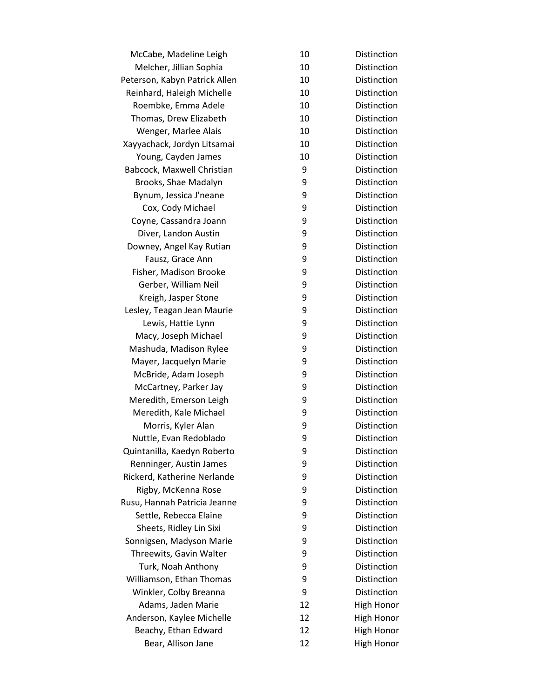| McCabe, Madeline Leigh        | 10 | Distinction        |
|-------------------------------|----|--------------------|
| Melcher, Jillian Sophia       | 10 | <b>Distinction</b> |
| Peterson, Kabyn Patrick Allen | 10 | Distinction        |
| Reinhard, Haleigh Michelle    | 10 | Distinction        |
| Roembke, Emma Adele           | 10 | Distinction        |
| Thomas, Drew Elizabeth        | 10 | Distinction        |
| Wenger, Marlee Alais          | 10 | Distinction        |
| Xayyachack, Jordyn Litsamai   | 10 | Distinction        |
| Young, Cayden James           | 10 | Distinction        |
| Babcock, Maxwell Christian    | 9  | Distinction        |
| Brooks, Shae Madalyn          | 9  | Distinction        |
| Bynum, Jessica J'neane        | 9  | Distinction        |
| Cox, Cody Michael             | 9  | Distinction        |
| Coyne, Cassandra Joann        | 9  | Distinction        |
| Diver, Landon Austin          | 9  | <b>Distinction</b> |
| Downey, Angel Kay Rutian      | 9  | Distinction        |
| Fausz, Grace Ann              | 9  | Distinction        |
| Fisher, Madison Brooke        | 9  | Distinction        |
| Gerber, William Neil          | 9  | Distinction        |
| Kreigh, Jasper Stone          | 9  | Distinction        |
| Lesley, Teagan Jean Maurie    | 9  | Distinction        |
| Lewis, Hattie Lynn            | 9  | Distinction        |
| Macy, Joseph Michael          | 9  | Distinction        |
| Mashuda, Madison Rylee        | 9  | Distinction        |
| Mayer, Jacquelyn Marie        | 9  | Distinction        |
| McBride, Adam Joseph          | 9  | Distinction        |
| McCartney, Parker Jay         | 9  | Distinction        |
| Meredith, Emerson Leigh       | 9  | Distinction        |
| Meredith, Kale Michael        | 9  | Distinction        |
| Morris, Kyler Alan            | 9  | Distinction        |
| Nuttle, Evan Redoblado        | 9  | Distinction        |
| Quintanilla, Kaedyn Roberto   | 9  | Distinction        |
| Renninger, Austin James       | 9  | Distinction        |
| Rickerd, Katherine Nerlande   | 9  | Distinction        |
| Rigby, McKenna Rose           | 9  | Distinction        |
| Rusu, Hannah Patricia Jeanne  | 9  | Distinction        |
| Settle, Rebecca Elaine        | 9  | Distinction        |
| Sheets, Ridley Lin Sixi       | 9  | Distinction        |
| Sonnigsen, Madyson Marie      | 9  | Distinction        |
| Threewits, Gavin Walter       | 9  | Distinction        |
| Turk, Noah Anthony            | 9  | Distinction        |
| Williamson, Ethan Thomas      | 9  | Distinction        |
| Winkler, Colby Breanna        | 9  | Distinction        |
| Adams, Jaden Marie            | 12 | High Honor         |
| Anderson, Kaylee Michelle     | 12 | <b>High Honor</b>  |
| Beachy, Ethan Edward          | 12 | <b>High Honor</b>  |
| Bear, Allison Jane            | 12 | <b>High Honor</b>  |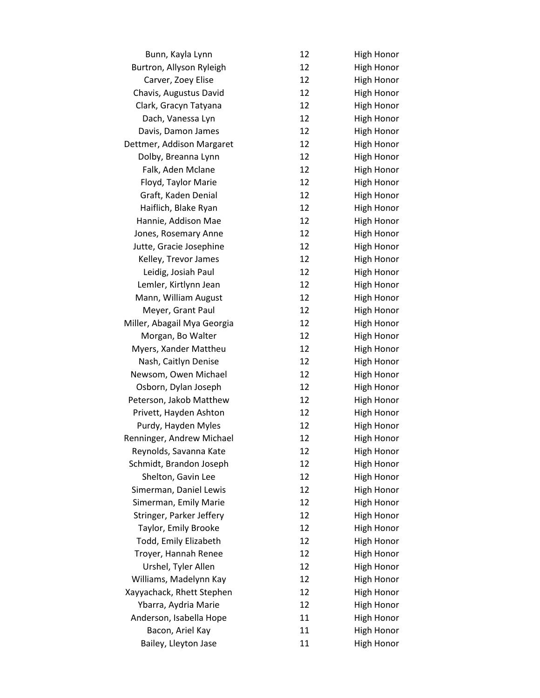| 12 | High Honor        |
|----|-------------------|
| 12 | <b>High Honor</b> |
| 12 | <b>High Honor</b> |
| 12 | <b>High Honor</b> |
| 12 | <b>High Honor</b> |
| 12 | <b>High Honor</b> |
| 12 | <b>High Honor</b> |
| 12 | <b>High Honor</b> |
| 12 | <b>High Honor</b> |
| 12 | <b>High Honor</b> |
| 12 | <b>High Honor</b> |
| 12 | <b>High Honor</b> |
| 12 | <b>High Honor</b> |
| 12 | <b>High Honor</b> |
| 12 | <b>High Honor</b> |
| 12 | High Honor        |
| 12 | <b>High Honor</b> |
| 12 | <b>High Honor</b> |
| 12 | <b>High Honor</b> |
| 12 | <b>High Honor</b> |
| 12 | <b>High Honor</b> |
| 12 | <b>High Honor</b> |
| 12 | <b>High Honor</b> |
| 12 | <b>High Honor</b> |
| 12 | <b>High Honor</b> |
| 12 | <b>High Honor</b> |
| 12 | <b>High Honor</b> |
| 12 | <b>High Honor</b> |
| 12 | High Honor        |
| 12 | <b>High Honor</b> |
| 12 | <b>High Honor</b> |
| 12 | High Honor        |
| 12 | <b>High Honor</b> |
| 12 | <b>High Honor</b> |
| 12 | <b>High Honor</b> |
| 12 | High Honor        |
| 12 | <b>High Honor</b> |
| 12 | <b>High Honor</b> |
| 12 | <b>High Honor</b> |
| 12 | <b>High Honor</b> |
| 12 | <b>High Honor</b> |
| 12 | <b>High Honor</b> |
| 12 | <b>High Honor</b> |
| 12 | <b>High Honor</b> |
| 11 | High Honor        |
| 11 | <b>High Honor</b> |
| 11 | <b>High Honor</b> |
|    |                   |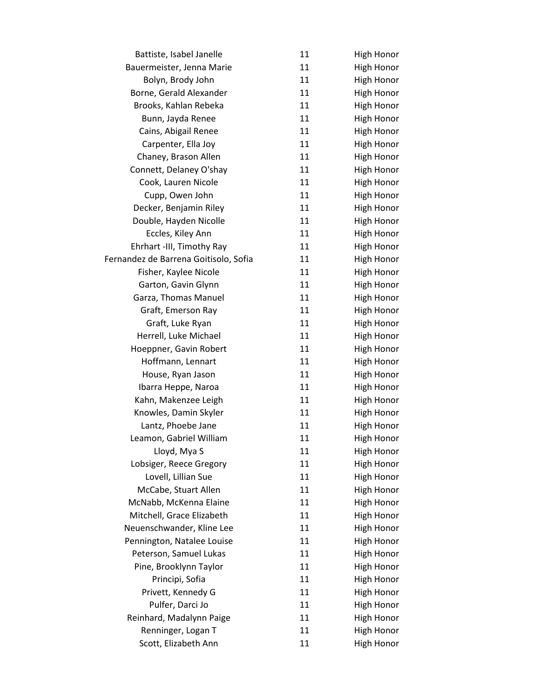| Battiste, Isabel Janelle              | 11 | <b>High Honor</b> |
|---------------------------------------|----|-------------------|
| Bauermeister, Jenna Marie             | 11 | <b>High Honor</b> |
| Bolyn, Brody John                     | 11 | <b>High Honor</b> |
| Borne, Gerald Alexander               | 11 | <b>High Honor</b> |
| Brooks, Kahlan Rebeka                 | 11 | <b>High Honor</b> |
| Bunn, Jayda Renee                     | 11 | <b>High Honor</b> |
| Cains, Abigail Renee                  | 11 | <b>High Honor</b> |
| Carpenter, Ella Joy                   | 11 | <b>High Honor</b> |
| Chaney, Brason Allen                  | 11 | <b>High Honor</b> |
| Connett, Delaney O'shay               | 11 | <b>High Honor</b> |
| Cook, Lauren Nicole                   | 11 | <b>High Honor</b> |
| Cupp, Owen John                       | 11 | <b>High Honor</b> |
| Decker, Benjamin Riley                | 11 | <b>High Honor</b> |
| Double, Hayden Nicolle                | 11 | <b>High Honor</b> |
| Eccles, Kiley Ann                     | 11 | <b>High Honor</b> |
| Ehrhart -III, Timothy Ray             | 11 | <b>High Honor</b> |
| Fernandez de Barrena Goitisolo, Sofia | 11 | High Honor        |
| Fisher, Kaylee Nicole                 | 11 | <b>High Honor</b> |
| Garton, Gavin Glynn                   | 11 | <b>High Honor</b> |
| Garza, Thomas Manuel                  | 11 | <b>High Honor</b> |
| Graft, Emerson Ray                    | 11 | <b>High Honor</b> |
| Graft, Luke Ryan                      | 11 | <b>High Honor</b> |
| Herrell, Luke Michael                 | 11 | <b>High Honor</b> |
| Hoeppner, Gavin Robert                | 11 | <b>High Honor</b> |
| Hoffmann, Lennart                     | 11 | <b>High Honor</b> |
| House, Ryan Jason                     | 11 | <b>High Honor</b> |
| Ibarra Heppe, Naroa                   | 11 | <b>High Honor</b> |
| Kahn, Makenzee Leigh                  | 11 | <b>High Honor</b> |
| Knowles, Damin Skyler                 | 11 | <b>High Honor</b> |
| Lantz, Phoebe Jane                    | 11 | <b>High Honor</b> |
| Leamon, Gabriel William               | 11 | <b>High Honor</b> |
| Lloyd, Mya S                          | 11 | High Honor        |
| Lobsiger, Reece Gregory               | 11 | <b>High Honor</b> |
| Lovell, Lillian Sue                   | 11 | <b>High Honor</b> |
| McCabe, Stuart Allen                  | 11 | High Honor        |
| McNabb, McKenna Elaine                | 11 | <b>High Honor</b> |
| Mitchell, Grace Elizabeth             | 11 | <b>High Honor</b> |
| Neuenschwander, Kline Lee             | 11 | <b>High Honor</b> |
| Pennington, Natalee Louise            | 11 | <b>High Honor</b> |
| Peterson, Samuel Lukas                | 11 | <b>High Honor</b> |
| Pine, Brooklynn Taylor                | 11 | <b>High Honor</b> |
| Principi, Sofia                       | 11 | <b>High Honor</b> |
| Privett, Kennedy G                    | 11 | <b>High Honor</b> |
| Pulfer, Darci Jo                      | 11 | <b>High Honor</b> |
| Reinhard, Madalynn Paige              | 11 | <b>High Honor</b> |
| Renninger, Logan T                    | 11 | <b>High Honor</b> |
| Scott, Elizabeth Ann                  | 11 | <b>High Honor</b> |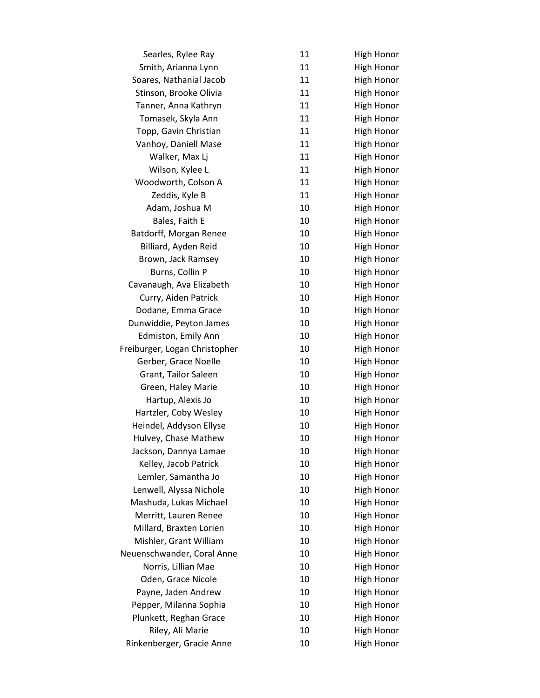| Searles, Rylee Ray            | 11 | <b>High Honor</b> |
|-------------------------------|----|-------------------|
| Smith, Arianna Lynn           | 11 | <b>High Honor</b> |
| Soares, Nathanial Jacob       | 11 | <b>High Honor</b> |
| Stinson, Brooke Olivia        | 11 | <b>High Honor</b> |
| Tanner, Anna Kathryn          | 11 | <b>High Honor</b> |
| Tomasek, Skyla Ann            | 11 | <b>High Honor</b> |
| Topp, Gavin Christian         | 11 | <b>High Honor</b> |
| Vanhoy, Daniell Mase          | 11 | <b>High Honor</b> |
| Walker, Max Lj                | 11 | <b>High Honor</b> |
| Wilson, Kylee L               | 11 | <b>High Honor</b> |
| Woodworth, Colson A           | 11 | <b>High Honor</b> |
| Zeddis, Kyle B                | 11 | <b>High Honor</b> |
| Adam, Joshua M                | 10 | <b>High Honor</b> |
| Bales, Faith E                | 10 | <b>High Honor</b> |
| Batdorff, Morgan Renee        | 10 | <b>High Honor</b> |
| Billiard, Ayden Reid          | 10 | High Honor        |
| Brown, Jack Ramsey            | 10 | <b>High Honor</b> |
| Burns, Collin P               | 10 | <b>High Honor</b> |
| Cavanaugh, Ava Elizabeth      | 10 | <b>High Honor</b> |
| Curry, Aiden Patrick          | 10 | <b>High Honor</b> |
| Dodane, Emma Grace            | 10 | <b>High Honor</b> |
| Dunwiddie, Peyton James       | 10 | <b>High Honor</b> |
| Edmiston, Emily Ann           | 10 | <b>High Honor</b> |
| Freiburger, Logan Christopher | 10 | <b>High Honor</b> |
| Gerber, Grace Noelle          | 10 | <b>High Honor</b> |
| Grant, Tailor Saleen          | 10 | <b>High Honor</b> |
| Green, Haley Marie            | 10 | <b>High Honor</b> |
| Hartup, Alexis Jo             | 10 | <b>High Honor</b> |
| Hartzler, Coby Wesley         | 10 | <b>High Honor</b> |
| Heindel, Addyson Ellyse       | 10 | High Honor        |
| Hulvey, Chase Mathew          | 10 | <b>High Honor</b> |
| Jackson, Dannya Lamae         | 10 | High Honor        |
| Kelley, Jacob Patrick         | 10 | <b>High Honor</b> |
| Lemler, Samantha Jo           | 10 | <b>High Honor</b> |
| Lenwell, Alyssa Nichole       | 10 | <b>High Honor</b> |
| Mashuda, Lukas Michael        | 10 | <b>High Honor</b> |
| Merritt, Lauren Renee         | 10 | <b>High Honor</b> |
| Millard, Braxten Lorien       | 10 | <b>High Honor</b> |
| Mishler, Grant William        | 10 | <b>High Honor</b> |
| Neuenschwander, Coral Anne    | 10 | <b>High Honor</b> |
| Norris, Lillian Mae           | 10 | <b>High Honor</b> |
| Oden, Grace Nicole            | 10 | <b>High Honor</b> |
| Payne, Jaden Andrew           | 10 | <b>High Honor</b> |
| Pepper, Milanna Sophia        | 10 | <b>High Honor</b> |
| Plunkett, Reghan Grace        | 10 | <b>High Honor</b> |
| Riley, Ali Marie              | 10 | <b>High Honor</b> |
| Rinkenberger, Gracie Anne     | 10 | High Honor        |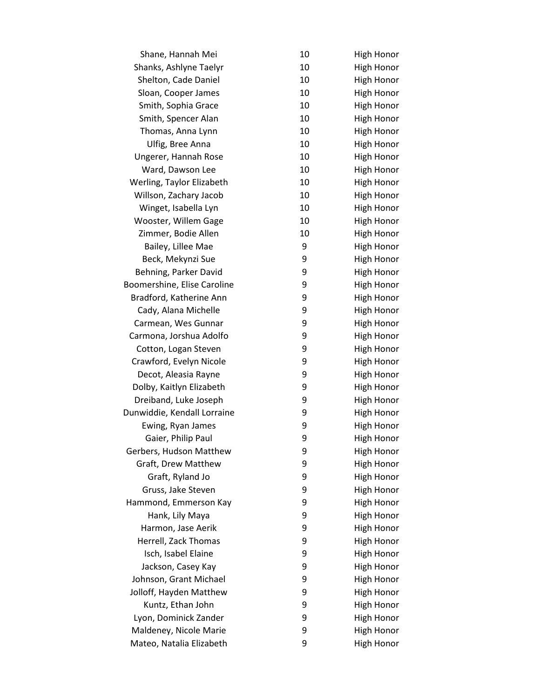| Shane, Hannah Mei           | 10 | High Honor        |
|-----------------------------|----|-------------------|
| Shanks, Ashlyne Taelyr      | 10 | <b>High Honor</b> |
| Shelton, Cade Daniel        | 10 | <b>High Honor</b> |
| Sloan, Cooper James         | 10 | <b>High Honor</b> |
| Smith, Sophia Grace         | 10 | <b>High Honor</b> |
| Smith, Spencer Alan         | 10 | <b>High Honor</b> |
| Thomas, Anna Lynn           | 10 | <b>High Honor</b> |
| Ulfig, Bree Anna            | 10 | <b>High Honor</b> |
| Ungerer, Hannah Rose        | 10 | <b>High Honor</b> |
| Ward, Dawson Lee            | 10 | <b>High Honor</b> |
| Werling, Taylor Elizabeth   | 10 | <b>High Honor</b> |
| Willson, Zachary Jacob      | 10 | <b>High Honor</b> |
| Winget, Isabella Lyn        | 10 | <b>High Honor</b> |
| Wooster, Willem Gage        | 10 | <b>High Honor</b> |
| Zimmer, Bodie Allen         | 10 | <b>High Honor</b> |
| Bailey, Lillee Mae          | 9  | High Honor        |
| Beck, Mekynzi Sue           | 9  | <b>High Honor</b> |
| Behning, Parker David       | 9  | <b>High Honor</b> |
| Boomershine, Elise Caroline | 9  | <b>High Honor</b> |
| Bradford, Katherine Ann     | 9  | <b>High Honor</b> |
| Cady, Alana Michelle        | 9  | <b>High Honor</b> |
| Carmean, Wes Gunnar         | 9  | <b>High Honor</b> |
| Carmona, Jorshua Adolfo     | 9  | High Honor        |
| Cotton, Logan Steven        | 9  | High Honor        |
| Crawford, Evelyn Nicole     | 9  | <b>High Honor</b> |
| Decot, Aleasia Rayne        | 9  | <b>High Honor</b> |
| Dolby, Kaitlyn Elizabeth    | 9  | <b>High Honor</b> |
| Dreiband, Luke Joseph       | 9  | <b>High Honor</b> |
| Dunwiddie, Kendall Lorraine | 9  | <b>High Honor</b> |
| Ewing, Ryan James           | 9  | <b>High Honor</b> |
| Gaier, Philip Paul          | 9  | <b>High Honor</b> |
| Gerbers, Hudson Matthew     | 9  | High Honor        |
| Graft, Drew Matthew         | 9  | <b>High Honor</b> |
| Graft, Ryland Jo            | 9  | <b>High Honor</b> |
| Gruss, Jake Steven          | 9  | <b>High Honor</b> |
| Hammond, Emmerson Kay       | 9  | <b>High Honor</b> |
| Hank, Lily Maya             | 9  | <b>High Honor</b> |
| Harmon, Jase Aerik          | 9  | <b>High Honor</b> |
| Herrell, Zack Thomas        | 9  | <b>High Honor</b> |
| Isch, Isabel Elaine         | 9  | <b>High Honor</b> |
| Jackson, Casey Kay          | 9  | <b>High Honor</b> |
| Johnson, Grant Michael      | 9  | <b>High Honor</b> |
| Jolloff, Hayden Matthew     | 9  | <b>High Honor</b> |
| Kuntz, Ethan John           | 9  | <b>High Honor</b> |
| Lyon, Dominick Zander       | 9  | <b>High Honor</b> |
| Maldeney, Nicole Marie      | 9  | <b>High Honor</b> |
| Mateo, Natalia Elizabeth    | 9  | <b>High Honor</b> |